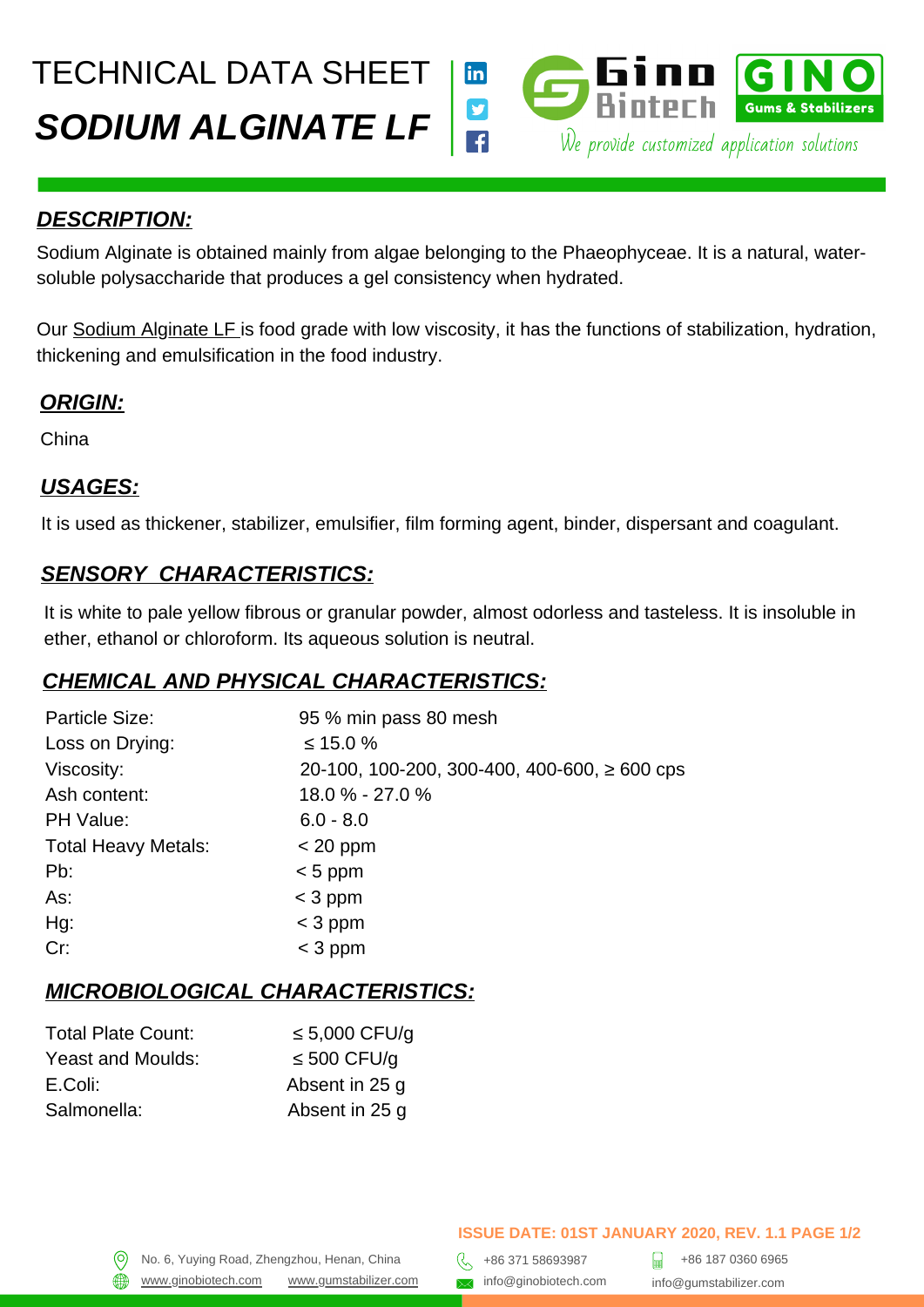TECHNICAL DATA SHEET



#### *DESCRIPTION:*

Sodium Alginate is obtained mainly from algae belonging to the Phaeophyceae. It is a natural, watersoluble polysaccharide that produces a gel consistency when hydrated.

Our [Sodium Alginate LF](https://gumstabilizer.com/products/sodium-alginate-lf) is food grade with low viscosity, it has the functions of stabilization, hydration, thickening and emulsification in the food industry.

# *ORIGIN:*

China

#### *USAGES:*

It is used as thickener, stabilizer, emulsifier, film forming agent, binder, dispersant and coagulant.

#### *SENSORY CHARACTERISTICS:*

It is white to pale yellow fibrous or granular powder, almost odorless and tasteless. It is insoluble in ether, ethanol or chloroform. Its aqueous solution is neutral.

# *CHEMICAL AND PHYSICAL CHARACTERISTICS:*

| 95 % min pass 80 mesh                             |
|---------------------------------------------------|
| $\leq 15.0 \%$                                    |
| 20-100, 100-200, 300-400, 400-600, $\geq 600$ cps |
| 18.0 % - 27.0 %                                   |
| $6.0 - 8.0$                                       |
| $<$ 20 ppm                                        |
| $< 5$ ppm                                         |
| $<$ 3 ppm                                         |
| $<$ 3 ppm                                         |
| $<$ 3 ppm                                         |
|                                                   |

# *MICROBIOLOGICAL CHARACTERISTICS:*

| <b>Total Plate Count:</b> | $\leq 5,000$ CFU/q |
|---------------------------|--------------------|
| Yeast and Moulds:         | $\leq$ 500 CFU/g   |
| E.Coli:                   | Absent in 25 q     |
| Salmonella:               | Absent in 25 g     |

[www.ginobiotech.com](http://www.ginobiotech.com/) www.gumstabilizer.com <br>www.ginobiotech.com www.gumstabilizer.com and info@ginobiotech.com